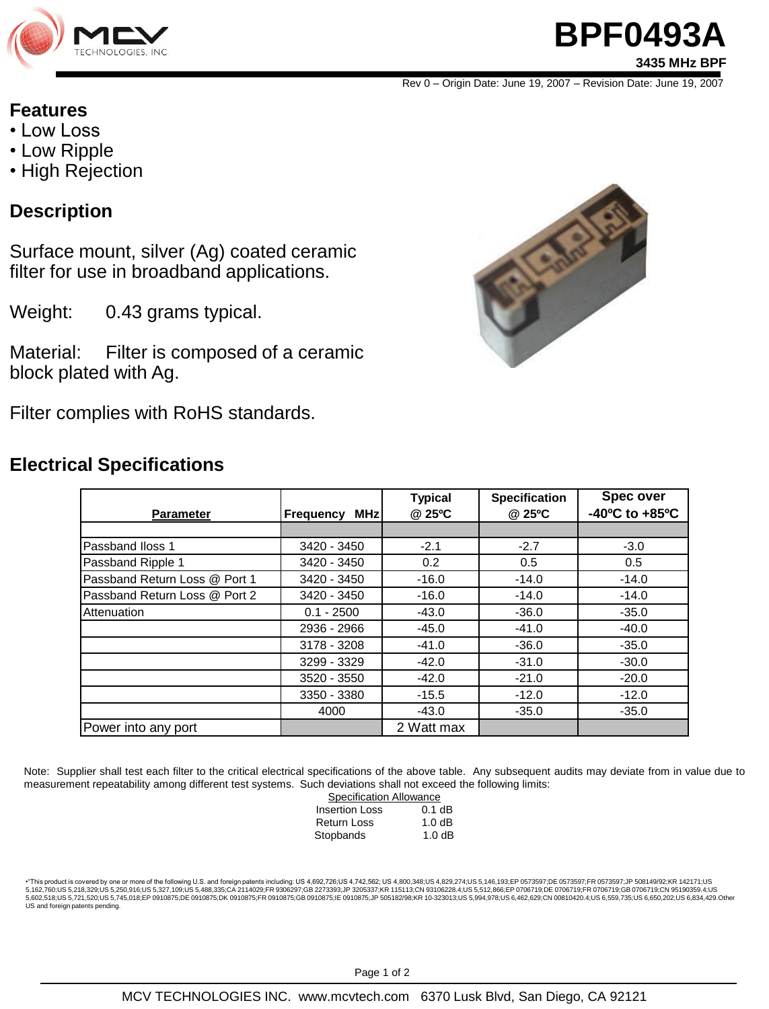

# **BPF0493A 3435 MHz BPF**

Rev 0 – Origin Date: June 19, 2007 – Revision Date: June 19, 2007

#### **Features**

- Low Loss
- Low Ripple
- High Rejection

## **Description**

Surface mount, silver (Ag) coated ceramic filter for use in broadband applications.

Weight: 0.43 grams typical.

Material: Filter is composed of a ceramic block plated with Ag.

Filter complies with RoHS standards.

### **Electrical Specifications**



| <b>Parameter</b>              | <b>MHz</b><br><b>Frequency</b> | <b>Typical</b><br>@ 25°C | <b>Specification</b><br>@ 25°C | <b>Spec over</b><br>$-40^{\circ}$ C to $+85^{\circ}$ C |
|-------------------------------|--------------------------------|--------------------------|--------------------------------|--------------------------------------------------------|
|                               |                                |                          |                                |                                                        |
| Passband Iloss 1              | 3420 - 3450                    | $-2.1$                   | $-2.7$                         | $-3.0$                                                 |
| Passband Ripple 1             | 3420 - 3450                    | 0.2                      | 0.5                            | 0.5                                                    |
| Passband Return Loss @ Port 1 | 3420 - 3450                    | $-16.0$                  | $-14.0$                        | $-14.0$                                                |
| Passband Return Loss @ Port 2 | 3420 - 3450                    | $-16.0$                  | $-14.0$                        | $-14.0$                                                |
| Attenuation                   | $0.1 - 2500$                   | $-43.0$                  | $-36.0$                        | $-35.0$                                                |
|                               | 2936 - 2966                    | $-45.0$                  | $-41.0$                        | $-40.0$                                                |
|                               | 3178 - 3208                    | $-41.0$                  | $-36.0$                        | $-35.0$                                                |
|                               | 3299 - 3329                    | $-42.0$                  | $-31.0$                        | $-30.0$                                                |
|                               | 3520 - 3550                    | $-42.0$                  | $-21.0$                        | $-20.0$                                                |
|                               | 3350 - 3380                    | $-15.5$                  | $-12.0$                        | $-12.0$                                                |
|                               | 4000                           | $-43.0$                  | $-35.0$                        | $-35.0$                                                |
| Power into any port           |                                | 2 Watt max               |                                |                                                        |

Note: Supplier shall test each filter to the critical electrical specifications of the above table. Any subsequent audits may deviate from in value due to measurement repeatability among different test systems. Such deviations shall not exceed the following limits:

| <b>Specification Allowance</b> |  |  |  |
|--------------------------------|--|--|--|
| $0.1$ dB                       |  |  |  |
| 1.0dB                          |  |  |  |
| 1.0dB                          |  |  |  |
|                                |  |  |  |

•"This product is covered by one or more of the following U.S. and foreign patents including: US 4,692,726;US 4,742,562; US 4,800,348;US 4,829,274;US 5,146,193;EP 0573597;DE 0573597;FR 0573597;JP 508149/92;KR 142171;US 5,162,760;US 5,218,329;US 5,250,916;US 5,327,109;US 5,488,335;CA 2114029;FR 9306297;GB 2273393;JP 3205337;KR 115113;CN 93106228.4;US 5,512,866;EP 0706719;DE 0706719;FR 0706719;GB 0706719;CB 0706719;CB 0706719;CN 95190359.4 US and foreign patents pending.